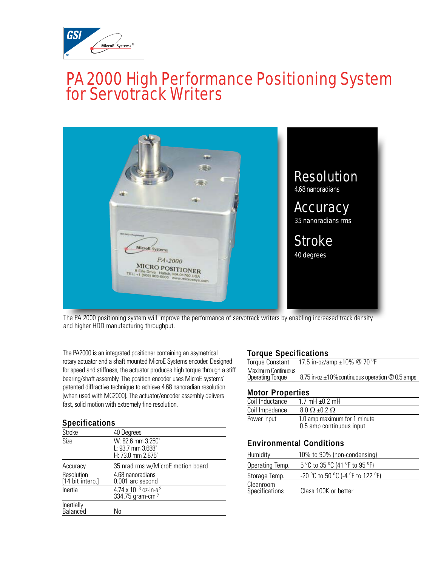

## PA 2000 High Performance Positioning System for Servotrack Writers



The PA 2000 positioning system will improve the performance of servotrack writers by enabling increased track density and higher HDD manufacturing throughput.

The PA2000 is an integrated positioner containing an asymetrical rotary actuator and a shaft mounted MicroE Systems encoder. Designed for speed and stiffness, the actuator produces high torque through a stiff bearing/shaft assembly. The position encoder uses MicroE systems' patented diffractive technique to achieve 4.68 nanoradian resolution [when used with MC2000]. The actuator/encoder assembly delivers fast, solid motion with extremely fine resolution.

| <b>Specifications</b>          |                                                             |  |
|--------------------------------|-------------------------------------------------------------|--|
| <b>Stroke</b>                  | 40 Degrees                                                  |  |
| Size                           | W: 82.6 mm 3.250"<br>L: 93.7 mm 3.688"<br>H: 73.0 mm 2.875" |  |
| Accuracy                       | 35 nrad rms w/MicroE motion board                           |  |
| Resolution<br>[14 bit interp.] | 4.68 nanoradians<br>0.001 arc second                        |  |
| Inertia                        | 4.74 x 10 -3 oz-in-s $2$<br>334.75 gram-cm <sup>2</sup>     |  |
| Inertially<br>Balanced         | Nο                                                          |  |

#### **Torque Specifications**

|                           | Torque Constant $17.5$ in-oz/amp $\pm 10\%$ @ 70 °F   |
|---------------------------|-------------------------------------------------------|
| <b>Maximum Continuous</b> |                                                       |
| <b>Operating Torque</b>   | 8.75 in-oz $\pm$ 10% continuous operation $@0.5$ amps |
|                           |                                                       |

#### **Motor Properties**

| Coil Inductance | 1.7 mH $\pm$ 0.2 mH          |
|-----------------|------------------------------|
| Coil Impedance  | $8.0 \Omega \pm 0.2 \Omega$  |
| Power Input     | 1.0 amp maximum for 1 minute |
|                 | 0.5 amp continuous input     |

#### **Environmental Conditions**

| Humidity                    | 10% to 90% (non-condensing)       |
|-----------------------------|-----------------------------------|
| Operating Temp.             | 5 °C to 35 °C (41 °F to 95 °F)    |
| Storage Temp.               | -20 °C to 50 °C (-4 °F to 122 °F) |
| Cleanroom<br>Specifications | Class 100K or better              |